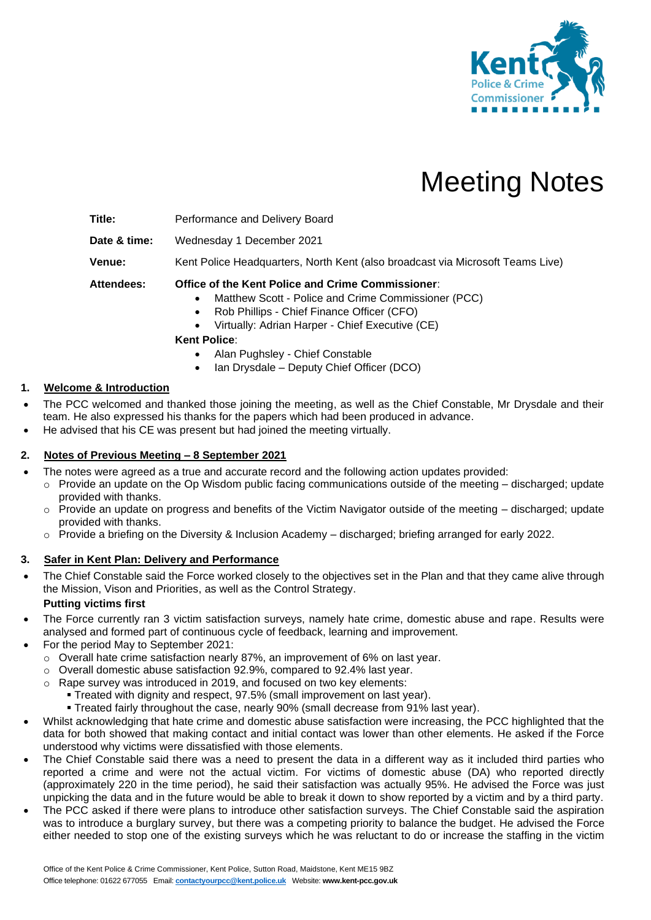

# Meeting Notes

**Title:** Performance and Delivery Board

**Date & time:** Wednesday 1 December 2021

**Venue:** Kent Police Headquarters, North Kent (also broadcast via Microsoft Teams Live)

**Attendees: Office of the Kent Police and Crime Commissioner**:

- Matthew Scott Police and Crime Commissioner (PCC)
- Rob Phillips Chief Finance Officer (CFO)
- Virtually: Adrian Harper Chief Executive (CE)

**Kent Police**:

- Alan Pughsley Chief Constable
- Ian Drysdale Deputy Chief Officer (DCO)

## **1. Welcome & Introduction**

- The PCC welcomed and thanked those joining the meeting, as well as the Chief Constable, Mr Drysdale and their team. He also expressed his thanks for the papers which had been produced in advance.
- He advised that his CE was present but had joined the meeting virtually.

## **2. Notes of Previous Meeting – 8 September 2021**

- The notes were agreed as a true and accurate record and the following action updates provided:
	- $\circ$  Provide an update on the Op Wisdom public facing communications outside of the meeting discharged; update provided with thanks.
	- o Provide an update on progress and benefits of the Victim Navigator outside of the meeting discharged; update provided with thanks.
	- o Provide a briefing on the Diversity & Inclusion Academy discharged; briefing arranged for early 2022.

## **3. Safer in Kent Plan: Delivery and Performance**

• The Chief Constable said the Force worked closely to the objectives set in the Plan and that they came alive through the Mission, Vison and Priorities, as well as the Control Strategy.

## **Putting victims first**

- The Force currently ran 3 victim satisfaction surveys, namely hate crime, domestic abuse and rape. Results were analysed and formed part of continuous cycle of feedback, learning and improvement.
	- For the period May to September 2021:
		- o Overall hate crime satisfaction nearly 87%, an improvement of 6% on last year.
		- o Overall domestic abuse satisfaction 92.9%, compared to 92.4% last year.
		- o Rape survey was introduced in 2019, and focused on two key elements:
			- **Treated with dignity and respect, 97.5% (small improvement on last year).**
			- Treated fairly throughout the case, nearly 90% (small decrease from 91% last year).
- Whilst acknowledging that hate crime and domestic abuse satisfaction were increasing, the PCC highlighted that the data for both showed that making contact and initial contact was lower than other elements. He asked if the Force understood why victims were dissatisfied with those elements.
- The Chief Constable said there was a need to present the data in a different way as it included third parties who reported a crime and were not the actual victim. For victims of domestic abuse (DA) who reported directly (approximately 220 in the time period), he said their satisfaction was actually 95%. He advised the Force was just unpicking the data and in the future would be able to break it down to show reported by a victim and by a third party.
- The PCC asked if there were plans to introduce other satisfaction surveys. The Chief Constable said the aspiration was to introduce a burglary survey, but there was a competing priority to balance the budget. He advised the Force either needed to stop one of the existing surveys which he was reluctant to do or increase the staffing in the victim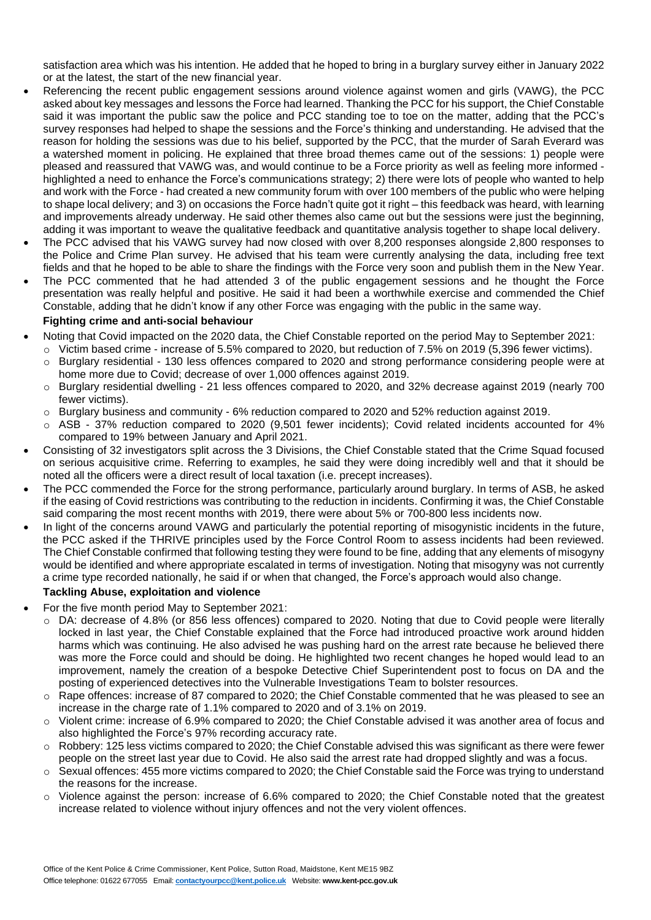satisfaction area which was his intention. He added that he hoped to bring in a burglary survey either in January 2022 or at the latest, the start of the new financial year.

- Referencing the recent public engagement sessions around violence against women and girls (VAWG), the PCC asked about key messages and lessons the Force had learned. Thanking the PCC for his support, the Chief Constable said it was important the public saw the police and PCC standing toe to toe on the matter, adding that the PCC's survey responses had helped to shape the sessions and the Force's thinking and understanding. He advised that the reason for holding the sessions was due to his belief, supported by the PCC, that the murder of Sarah Everard was a watershed moment in policing. He explained that three broad themes came out of the sessions: 1) people were pleased and reassured that VAWG was, and would continue to be a Force priority as well as feeling more informed highlighted a need to enhance the Force's communications strategy; 2) there were lots of people who wanted to help and work with the Force - had created a new community forum with over 100 members of the public who were helping to shape local delivery; and 3) on occasions the Force hadn't quite got it right – this feedback was heard, with learning and improvements already underway. He said other themes also came out but the sessions were just the beginning, adding it was important to weave the qualitative feedback and quantitative analysis together to shape local delivery.
- The PCC advised that his VAWG survey had now closed with over 8,200 responses alongside 2,800 responses to the Police and Crime Plan survey. He advised that his team were currently analysing the data, including free text fields and that he hoped to be able to share the findings with the Force very soon and publish them in the New Year.
- The PCC commented that he had attended 3 of the public engagement sessions and he thought the Force presentation was really helpful and positive. He said it had been a worthwhile exercise and commended the Chief Constable, adding that he didn't know if any other Force was engaging with the public in the same way.

#### **Fighting crime and anti-social behaviour**

- Noting that Covid impacted on the 2020 data, the Chief Constable reported on the period May to September 2021:
	- $\circ$  Victim based crime increase of 5.5% compared to 2020, but reduction of 7.5% on 2019 (5,396 fewer victims).
	- o Burglary residential 130 less offences compared to 2020 and strong performance considering people were at home more due to Covid; decrease of over 1,000 offences against 2019.
	- o Burglary residential dwelling 21 less offences compared to 2020, and 32% decrease against 2019 (nearly 700 fewer victims).
	- o Burglary business and community 6% reduction compared to 2020 and 52% reduction against 2019.
	- o ASB 37% reduction compared to 2020 (9,501 fewer incidents); Covid related incidents accounted for 4% compared to 19% between January and April 2021.
- Consisting of 32 investigators split across the 3 Divisions, the Chief Constable stated that the Crime Squad focused on serious acquisitive crime. Referring to examples, he said they were doing incredibly well and that it should be noted all the officers were a direct result of local taxation (i.e. precept increases).
- The PCC commended the Force for the strong performance, particularly around burglary. In terms of ASB, he asked if the easing of Covid restrictions was contributing to the reduction in incidents. Confirming it was, the Chief Constable said comparing the most recent months with 2019, there were about 5% or 700-800 less incidents now.
- In light of the concerns around VAWG and particularly the potential reporting of misogynistic incidents in the future, the PCC asked if the THRIVE principles used by the Force Control Room to assess incidents had been reviewed. The Chief Constable confirmed that following testing they were found to be fine, adding that any elements of misogyny would be identified and where appropriate escalated in terms of investigation. Noting that misogyny was not currently a crime type recorded nationally, he said if or when that changed, the Force's approach would also change.

## **Tackling Abuse, exploitation and violence**

- For the five month period May to September 2021:
	- o DA: decrease of 4.8% (or 856 less offences) compared to 2020. Noting that due to Covid people were literally locked in last year, the Chief Constable explained that the Force had introduced proactive work around hidden harms which was continuing. He also advised he was pushing hard on the arrest rate because he believed there was more the Force could and should be doing. He highlighted two recent changes he hoped would lead to an improvement, namely the creation of a bespoke Detective Chief Superintendent post to focus on DA and the posting of experienced detectives into the Vulnerable Investigations Team to bolster resources.
	- o Rape offences: increase of 87 compared to 2020; the Chief Constable commented that he was pleased to see an increase in the charge rate of 1.1% compared to 2020 and of 3.1% on 2019.
	- o Violent crime: increase of 6.9% compared to 2020; the Chief Constable advised it was another area of focus and also highlighted the Force's 97% recording accuracy rate.
	- $\circ$  Robbery: 125 less victims compared to 2020; the Chief Constable advised this was significant as there were fewer people on the street last year due to Covid. He also said the arrest rate had dropped slightly and was a focus.
	- o Sexual offences: 455 more victims compared to 2020; the Chief Constable said the Force was trying to understand the reasons for the increase.
	- o Violence against the person: increase of 6.6% compared to 2020; the Chief Constable noted that the greatest increase related to violence without injury offences and not the very violent offences.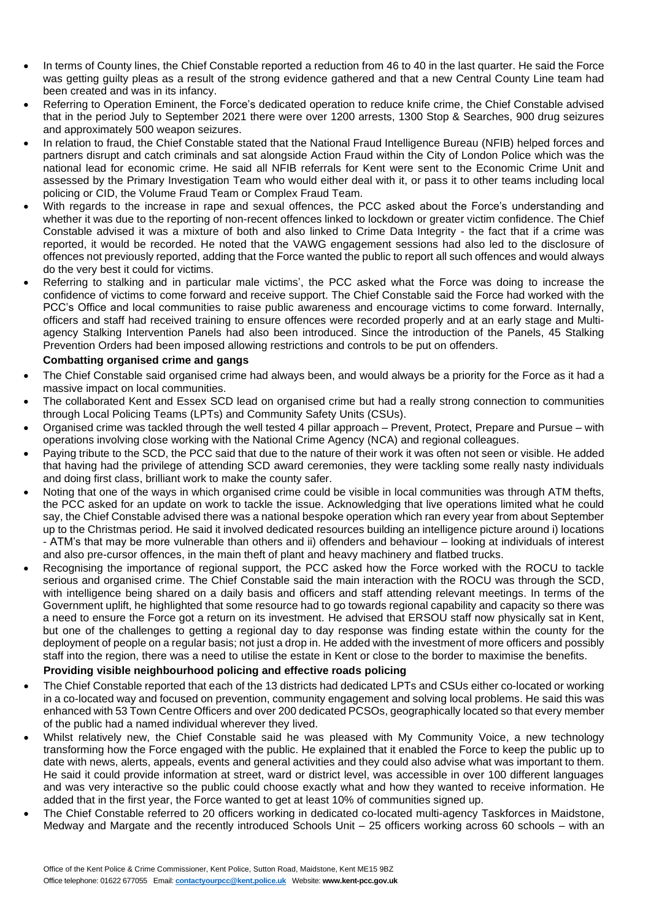- In terms of County lines, the Chief Constable reported a reduction from 46 to 40 in the last quarter. He said the Force was getting guilty pleas as a result of the strong evidence gathered and that a new Central County Line team had been created and was in its infancy.
- Referring to Operation Eminent, the Force's dedicated operation to reduce knife crime, the Chief Constable advised that in the period July to September 2021 there were over 1200 arrests, 1300 Stop & Searches, 900 drug seizures and approximately 500 weapon seizures.
- In relation to fraud, the Chief Constable stated that the National Fraud Intelligence Bureau (NFIB) helped forces and partners disrupt and catch criminals and sat alongside Action Fraud within the City of London Police which was the national lead for economic crime. He said all NFIB referrals for Kent were sent to the Economic Crime Unit and assessed by the Primary Investigation Team who would either deal with it, or pass it to other teams including local policing or CID, the Volume Fraud Team or Complex Fraud Team.
- With regards to the increase in rape and sexual offences, the PCC asked about the Force's understanding and whether it was due to the reporting of non-recent offences linked to lockdown or greater victim confidence. The Chief Constable advised it was a mixture of both and also linked to Crime Data Integrity - the fact that if a crime was reported, it would be recorded. He noted that the VAWG engagement sessions had also led to the disclosure of offences not previously reported, adding that the Force wanted the public to report all such offences and would always do the very best it could for victims.
- Referring to stalking and in particular male victims', the PCC asked what the Force was doing to increase the confidence of victims to come forward and receive support. The Chief Constable said the Force had worked with the PCC's Office and local communities to raise public awareness and encourage victims to come forward. Internally, officers and staff had received training to ensure offences were recorded properly and at an early stage and Multiagency Stalking Intervention Panels had also been introduced. Since the introduction of the Panels, 45 Stalking Prevention Orders had been imposed allowing restrictions and controls to be put on offenders.

## **Combatting organised crime and gangs**

- The Chief Constable said organised crime had always been, and would always be a priority for the Force as it had a massive impact on local communities.
- The collaborated Kent and Essex SCD lead on organised crime but had a really strong connection to communities through Local Policing Teams (LPTs) and Community Safety Units (CSUs).
- Organised crime was tackled through the well tested 4 pillar approach Prevent, Protect, Prepare and Pursue with operations involving close working with the National Crime Agency (NCA) and regional colleagues.
- Paying tribute to the SCD, the PCC said that due to the nature of their work it was often not seen or visible. He added that having had the privilege of attending SCD award ceremonies, they were tackling some really nasty individuals and doing first class, brilliant work to make the county safer.
- Noting that one of the ways in which organised crime could be visible in local communities was through ATM thefts, the PCC asked for an update on work to tackle the issue. Acknowledging that live operations limited what he could say, the Chief Constable advised there was a national bespoke operation which ran every year from about September up to the Christmas period. He said it involved dedicated resources building an intelligence picture around i) locations - ATM's that may be more vulnerable than others and ii) offenders and behaviour – looking at individuals of interest and also pre-cursor offences, in the main theft of plant and heavy machinery and flatbed trucks.
- Recognising the importance of regional support, the PCC asked how the Force worked with the ROCU to tackle serious and organised crime. The Chief Constable said the main interaction with the ROCU was through the SCD, with intelligence being shared on a daily basis and officers and staff attending relevant meetings. In terms of the Government uplift, he highlighted that some resource had to go towards regional capability and capacity so there was a need to ensure the Force got a return on its investment. He advised that ERSOU staff now physically sat in Kent, but one of the challenges to getting a regional day to day response was finding estate within the county for the deployment of people on a regular basis; not just a drop in. He added with the investment of more officers and possibly staff into the region, there was a need to utilise the estate in Kent or close to the border to maximise the benefits.

## **Providing visible neighbourhood policing and effective roads policing**

- The Chief Constable reported that each of the 13 districts had dedicated LPTs and CSUs either co-located or working in a co-located way and focused on prevention, community engagement and solving local problems. He said this was enhanced with 53 Town Centre Officers and over 200 dedicated PCSOs, geographically located so that every member of the public had a named individual wherever they lived.
- Whilst relatively new, the Chief Constable said he was pleased with My Community Voice, a new technology transforming how the Force engaged with the public. He explained that it enabled the Force to keep the public up to date with news, alerts, appeals, events and general activities and they could also advise what was important to them. He said it could provide information at street, ward or district level, was accessible in over 100 different languages and was very interactive so the public could choose exactly what and how they wanted to receive information. He added that in the first year, the Force wanted to get at least 10% of communities signed up.
- The Chief Constable referred to 20 officers working in dedicated co-located multi-agency Taskforces in Maidstone, Medway and Margate and the recently introduced Schools Unit – 25 officers working across 60 schools – with an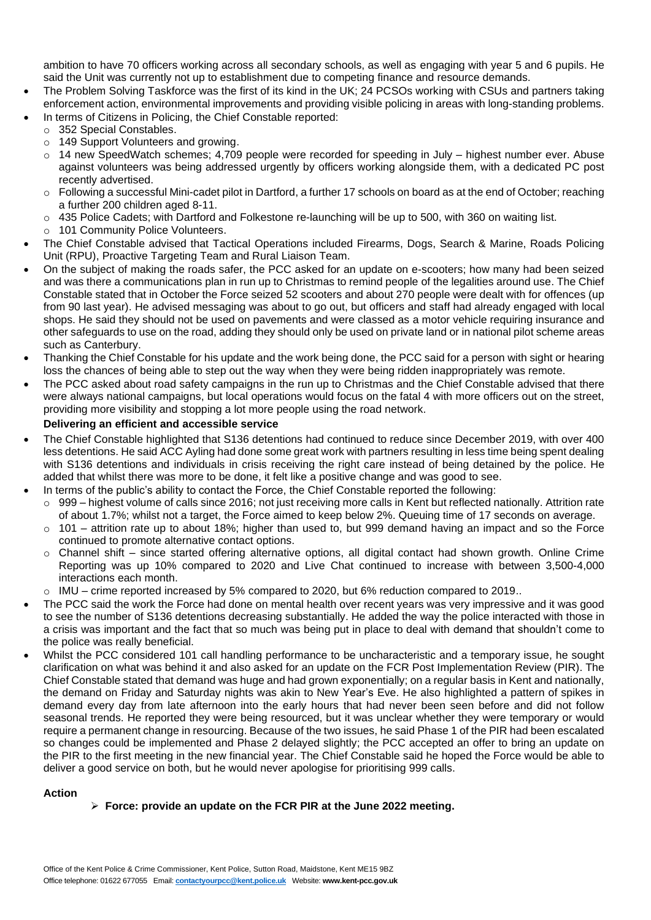ambition to have 70 officers working across all secondary schools, as well as engaging with year 5 and 6 pupils. He said the Unit was currently not up to establishment due to competing finance and resource demands.

- The Problem Solving Taskforce was the first of its kind in the UK; 24 PCSOs working with CSUs and partners taking enforcement action, environmental improvements and providing visible policing in areas with long-standing problems.
	- In terms of Citizens in Policing, the Chief Constable reported:
	- o 352 Special Constables.
	- o 149 Support Volunteers and growing.
	- o 14 new SpeedWatch schemes; 4,709 people were recorded for speeding in July highest number ever. Abuse against volunteers was being addressed urgently by officers working alongside them, with a dedicated PC post recently advertised.
	- $\circ$  Following a successful Mini-cadet pilot in Dartford, a further 17 schools on board as at the end of October; reaching a further 200 children aged 8-11.
	- $\circ$  435 Police Cadets; with Dartford and Folkestone re-launching will be up to 500, with 360 on waiting list.
	- o 101 Community Police Volunteers.
- The Chief Constable advised that Tactical Operations included Firearms, Dogs, Search & Marine, Roads Policing Unit (RPU), Proactive Targeting Team and Rural Liaison Team.
- On the subject of making the roads safer, the PCC asked for an update on e-scooters; how many had been seized and was there a communications plan in run up to Christmas to remind people of the legalities around use. The Chief Constable stated that in October the Force seized 52 scooters and about 270 people were dealt with for offences (up from 90 last year). He advised messaging was about to go out, but officers and staff had already engaged with local shops. He said they should not be used on pavements and were classed as a motor vehicle requiring insurance and other safeguards to use on the road, adding they should only be used on private land or in national pilot scheme areas such as Canterbury.
- Thanking the Chief Constable for his update and the work being done, the PCC said for a person with sight or hearing loss the chances of being able to step out the way when they were being ridden inappropriately was remote.
- The PCC asked about road safety campaigns in the run up to Christmas and the Chief Constable advised that there were always national campaigns, but local operations would focus on the fatal 4 with more officers out on the street, providing more visibility and stopping a lot more people using the road network.

# **Delivering an efficient and accessible service**

- The Chief Constable highlighted that S136 detentions had continued to reduce since December 2019, with over 400 less detentions. He said ACC Ayling had done some great work with partners resulting in less time being spent dealing with S136 detentions and individuals in crisis receiving the right care instead of being detained by the police. He added that whilst there was more to be done, it felt like a positive change and was good to see.
- In terms of the public's ability to contact the Force, the Chief Constable reported the following:
	- $\circ$  999 highest volume of calls since 2016; not just receiving more calls in Kent but reflected nationally. Attrition rate of about 1.7%; whilst not a target, the Force aimed to keep below 2%. Queuing time of 17 seconds on average.
	- $\circ$  101 attrition rate up to about 18%; higher than used to, but 999 demand having an impact and so the Force continued to promote alternative contact options.
	- o Channel shift since started offering alternative options, all digital contact had shown growth. Online Crime Reporting was up 10% compared to 2020 and Live Chat continued to increase with between 3,500-4,000 interactions each month.
- o IMU crime reported increased by 5% compared to 2020, but 6% reduction compared to 2019..
- The PCC said the work the Force had done on mental health over recent years was very impressive and it was good to see the number of S136 detentions decreasing substantially. He added the way the police interacted with those in a crisis was important and the fact that so much was being put in place to deal with demand that shouldn't come to the police was really beneficial.
- Whilst the PCC considered 101 call handling performance to be uncharacteristic and a temporary issue, he sought clarification on what was behind it and also asked for an update on the FCR Post Implementation Review (PIR). The Chief Constable stated that demand was huge and had grown exponentially; on a regular basis in Kent and nationally, the demand on Friday and Saturday nights was akin to New Year's Eve. He also highlighted a pattern of spikes in demand every day from late afternoon into the early hours that had never been seen before and did not follow seasonal trends. He reported they were being resourced, but it was unclear whether they were temporary or would require a permanent change in resourcing. Because of the two issues, he said Phase 1 of the PIR had been escalated so changes could be implemented and Phase 2 delayed slightly; the PCC accepted an offer to bring an update on the PIR to the first meeting in the new financial year. The Chief Constable said he hoped the Force would be able to deliver a good service on both, but he would never apologise for prioritising 999 calls.

## **Action**

## ➢ **Force: provide an update on the FCR PIR at the June 2022 meeting.**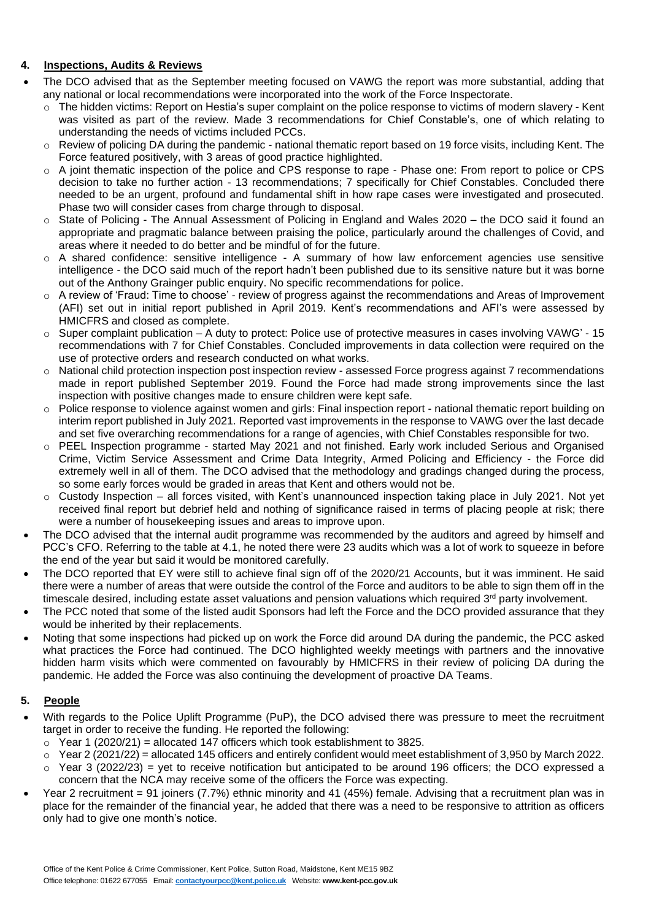## **4. Inspections, Audits & Reviews**

- The DCO advised that as the September meeting focused on VAWG the report was more substantial, adding that any national or local recommendations were incorporated into the work of the Force Inspectorate.
	- o The hidden victims: Report on Hestia's super complaint on the police response to victims of modern slavery Kent was visited as part of the review. Made 3 recommendations for Chief Constable's, one of which relating to understanding the needs of victims included PCCs.
	- $\circ$  Review of policing DA during the pandemic national thematic report based on 19 force visits, including Kent. The Force featured positively, with 3 areas of good practice highlighted.
	- o A joint thematic inspection of the police and CPS response to rape Phase one: From report to police or CPS decision to take no further action - 13 recommendations; 7 specifically for Chief Constables. Concluded there needed to be an urgent, profound and fundamental shift in how rape cases were investigated and prosecuted. Phase two will consider cases from charge through to disposal.
	- State of Policing The Annual Assessment of Policing in England and Wales 2020 the DCO said it found an appropriate and pragmatic balance between praising the police, particularly around the challenges of Covid, and areas where it needed to do better and be mindful of for the future.
	- o A shared confidence: sensitive intelligence A summary of how law enforcement agencies use sensitive intelligence - the DCO said much of the report hadn't been published due to its sensitive nature but it was borne out of the Anthony Grainger public enquiry. No specific recommendations for police.
	- o A review of 'Fraud: Time to choose' review of progress against the recommendations and Areas of Improvement (AFI) set out in initial report published in April 2019. Kent's recommendations and AFI's were assessed by HMICFRS and closed as complete.
	- o Super complaint publication A duty to protect: Police use of protective measures in cases involving VAWG' 15 recommendations with 7 for Chief Constables. Concluded improvements in data collection were required on the use of protective orders and research conducted on what works.
	- o National child protection inspection post inspection review assessed Force progress against 7 recommendations made in report published September 2019. Found the Force had made strong improvements since the last inspection with positive changes made to ensure children were kept safe.
	- o Police response to violence against women and girls: Final inspection report national thematic report building on interim report published in July 2021. Reported vast improvements in the response to VAWG over the last decade and set five overarching recommendations for a range of agencies, with Chief Constables responsible for two.
	- o PEEL Inspection programme started May 2021 and not finished. Early work included Serious and Organised Crime, Victim Service Assessment and Crime Data Integrity, Armed Policing and Efficiency - the Force did extremely well in all of them. The DCO advised that the methodology and gradings changed during the process, so some early forces would be graded in areas that Kent and others would not be.
	- $\circ$  Custody Inspection all forces visited, with Kent's unannounced inspection taking place in July 2021. Not yet received final report but debrief held and nothing of significance raised in terms of placing people at risk; there were a number of housekeeping issues and areas to improve upon.
- The DCO advised that the internal audit programme was recommended by the auditors and agreed by himself and PCC's CFO. Referring to the table at 4.1, he noted there were 23 audits which was a lot of work to squeeze in before the end of the year but said it would be monitored carefully.
- The DCO reported that EY were still to achieve final sign off of the 2020/21 Accounts, but it was imminent. He said there were a number of areas that were outside the control of the Force and auditors to be able to sign them off in the timescale desired, including estate asset valuations and pension valuations which required 3<sup>rd</sup> party involvement.
- The PCC noted that some of the listed audit Sponsors had left the Force and the DCO provided assurance that they would be inherited by their replacements.
- Noting that some inspections had picked up on work the Force did around DA during the pandemic, the PCC asked what practices the Force had continued. The DCO highlighted weekly meetings with partners and the innovative hidden harm visits which were commented on favourably by HMICFRS in their review of policing DA during the pandemic. He added the Force was also continuing the development of proactive DA Teams.

# **5. People**

- With regards to the Police Uplift Programme (PuP), the DCO advised there was pressure to meet the recruitment target in order to receive the funding. He reported the following:
	- $\circ$  Year 1 (2020/21) = allocated 147 officers which took establishment to 3825.
	- $\circ$  Year 2 (2021/22) = allocated 145 officers and entirely confident would meet establishment of 3,950 by March 2022.
	- $\circ$  Year 3 (2022/23) = yet to receive notification but anticipated to be around 196 officers; the DCO expressed a concern that the NCA may receive some of the officers the Force was expecting.
- Year 2 recruitment = 91 joiners (7.7%) ethnic minority and 41 (45%) female. Advising that a recruitment plan was in place for the remainder of the financial year, he added that there was a need to be responsive to attrition as officers only had to give one month's notice.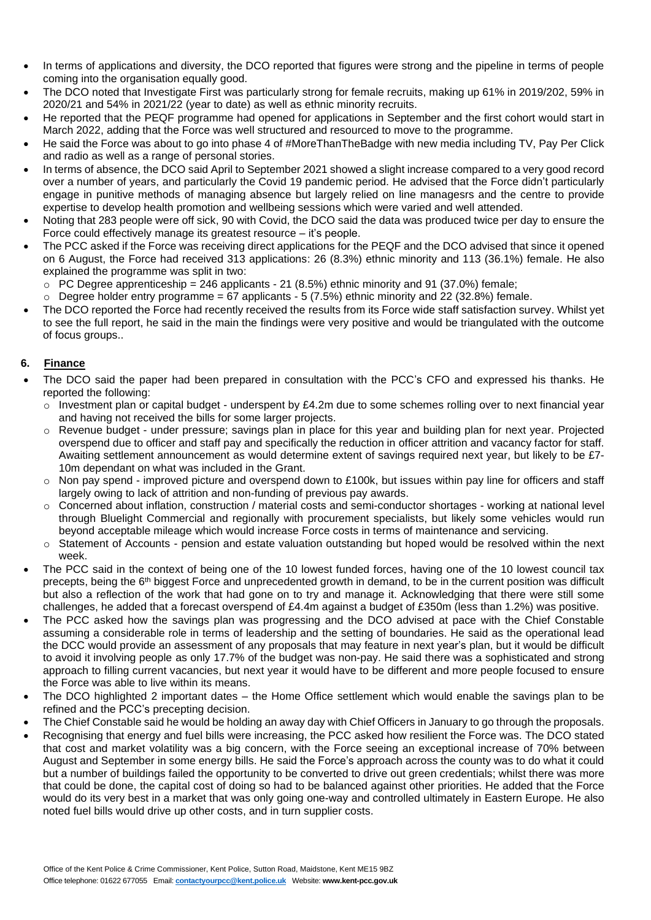- In terms of applications and diversity, the DCO reported that figures were strong and the pipeline in terms of people coming into the organisation equally good.
- The DCO noted that Investigate First was particularly strong for female recruits, making up 61% in 2019/202, 59% in 2020/21 and 54% in 2021/22 (year to date) as well as ethnic minority recruits.
- He reported that the PEQF programme had opened for applications in September and the first cohort would start in March 2022, adding that the Force was well structured and resourced to move to the programme.
- He said the Force was about to go into phase 4 of #MoreThanTheBadge with new media including TV, Pay Per Click and radio as well as a range of personal stories.
- In terms of absence, the DCO said April to September 2021 showed a slight increase compared to a very good record over a number of years, and particularly the Covid 19 pandemic period. He advised that the Force didn't particularly engage in punitive methods of managing absence but largely relied on line managesrs and the centre to provide expertise to develop health promotion and wellbeing sessions which were varied and well attended.
- Noting that 283 people were off sick, 90 with Covid, the DCO said the data was produced twice per day to ensure the Force could effectively manage its greatest resource – it's people.
- The PCC asked if the Force was receiving direct applications for the PEQF and the DCO advised that since it opened on 6 August, the Force had received 313 applications: 26 (8.3%) ethnic minority and 113 (36.1%) female. He also explained the programme was split in two:
	- $\circ$  PC Degree apprenticeship = 246 applicants 21 (8.5%) ethnic minority and 91 (37.0%) female;
	- $\circ$  Degree holder entry programme = 67 applicants 5 (7.5%) ethnic minority and 22 (32.8%) female.
- The DCO reported the Force had recently received the results from its Force wide staff satisfaction survey. Whilst yet to see the full report, he said in the main the findings were very positive and would be triangulated with the outcome of focus groups..

# **6. Finance**

- The DCO said the paper had been prepared in consultation with the PCC's CFO and expressed his thanks. He reported the following:
	- $\circ$  Investment plan or capital budget underspent by £4.2m due to some schemes rolling over to next financial year and having not received the bills for some larger projects.
	- o Revenue budget under pressure; savings plan in place for this year and building plan for next year. Projected overspend due to officer and staff pay and specifically the reduction in officer attrition and vacancy factor for staff. Awaiting settlement announcement as would determine extent of savings required next year, but likely to be £7- 10m dependant on what was included in the Grant.
	- o Non pay spend improved picture and overspend down to £100k, but issues within pay line for officers and staff largely owing to lack of attrition and non-funding of previous pay awards.
	- o Concerned about inflation, construction / material costs and semi-conductor shortages working at national level through Bluelight Commercial and regionally with procurement specialists, but likely some vehicles would run beyond acceptable mileage which would increase Force costs in terms of maintenance and servicing.
	- o Statement of Accounts pension and estate valuation outstanding but hoped would be resolved within the next week.
- The PCC said in the context of being one of the 10 lowest funded forces, having one of the 10 lowest council tax precepts, being the 6<sup>th</sup> biggest Force and unprecedented growth in demand, to be in the current position was difficult but also a reflection of the work that had gone on to try and manage it. Acknowledging that there were still some challenges, he added that a forecast overspend of £4.4m against a budget of £350m (less than 1.2%) was positive.
- The PCC asked how the savings plan was progressing and the DCO advised at pace with the Chief Constable assuming a considerable role in terms of leadership and the setting of boundaries. He said as the operational lead the DCC would provide an assessment of any proposals that may feature in next year's plan, but it would be difficult to avoid it involving people as only 17.7% of the budget was non-pay. He said there was a sophisticated and strong approach to filling current vacancies, but next year it would have to be different and more people focused to ensure the Force was able to live within its means.
- The DCO highlighted 2 important dates the Home Office settlement which would enable the savings plan to be refined and the PCC's precepting decision.
- The Chief Constable said he would be holding an away day with Chief Officers in January to go through the proposals.
- Recognising that energy and fuel bills were increasing, the PCC asked how resilient the Force was. The DCO stated that cost and market volatility was a big concern, with the Force seeing an exceptional increase of 70% between August and September in some energy bills. He said the Force's approach across the county was to do what it could but a number of buildings failed the opportunity to be converted to drive out green credentials; whilst there was more that could be done, the capital cost of doing so had to be balanced against other priorities. He added that the Force would do its very best in a market that was only going one-way and controlled ultimately in Eastern Europe. He also noted fuel bills would drive up other costs, and in turn supplier costs.